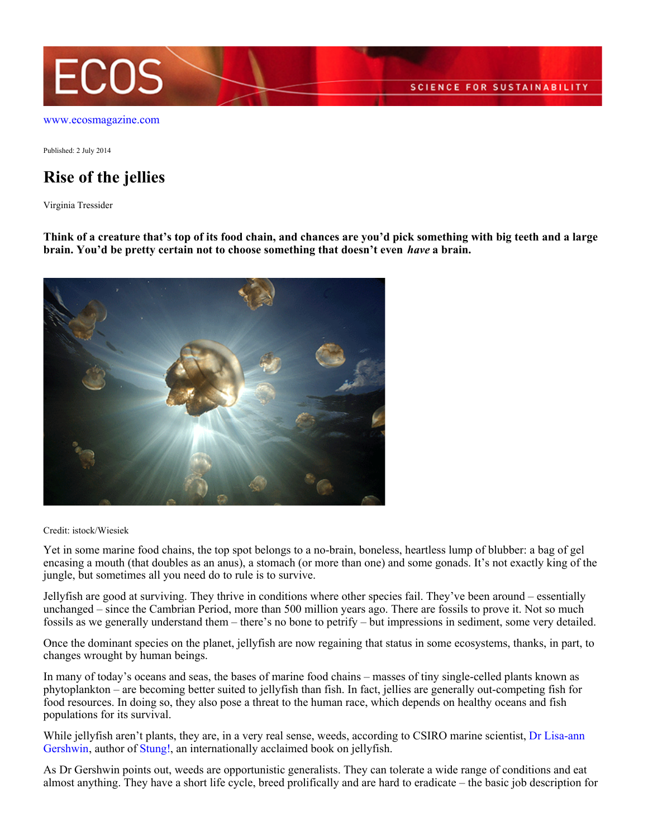

Published: 2 July 2014

## **Rise of the jellies**

Virginia Tressider

**Think of a creature that's top of its food chain, and chances are you'd pick something with big teeth and a large brain. You'd be pretty certain not to choose something that doesn't even** *have* **a brain.**



Credit: istock/Wiesiek

Yet in some marine food chains, the top spot belongs to a no-brain, boneless, heartless lump of blubber: a bag of gel encasing a mouth (that doubles as an anus), a stomach (or more than one) and some gonads. It's not exactly king of the jungle, but sometimes all you need do to rule is to survive.

Jellyfish are good at surviving. They thrive in conditions where other species fail. They've been around – essentially unchanged – since the Cambrian Period, more than 500 million years ago. There are fossils to prove it. Not so much fossils as we generally understand them – there's no bone to petrify – but impressions in sediment, some very detailed.

Once the dominant species on the planet, jellyfish are now regaining that status in some ecosystems, thanks, in part, to changes wrought by human beings.

In many of today's oceans and seas, the bases of marine food chains – masses of tiny single-celled plants known as phytoplankton – are becoming better suited to jellyfish than fish. In fact, jellies are generally out-competing fish for food resources. In doing so, they also pose a threat to the human race, which depends on healthy oceans and fish populations for its survival.

While jellyfish aren't plants, they are, in a very real sense, weeds, according to CSIRO marine scientist, [Dr Lisa-ann](http://www.csiro.au/Outcomes/Oceans/Hot-ocean-topics/Irukandji-forecasting-system.aspx) [Gershwin](http://www.csiro.au/Outcomes/Oceans/Hot-ocean-topics/Irukandji-forecasting-system.aspx), author of [Stung!](http://press.uchicago.edu/ucp/books/book/chicago/S/bo15220175.html), an internationally acclaimed book on jellyfish.

As Dr Gershwin points out, weeds are opportunistic generalists. They can tolerate a wide range of conditions and eat almost anything. They have a short life cycle, breed prolifically and are hard to eradicate – the basic job description for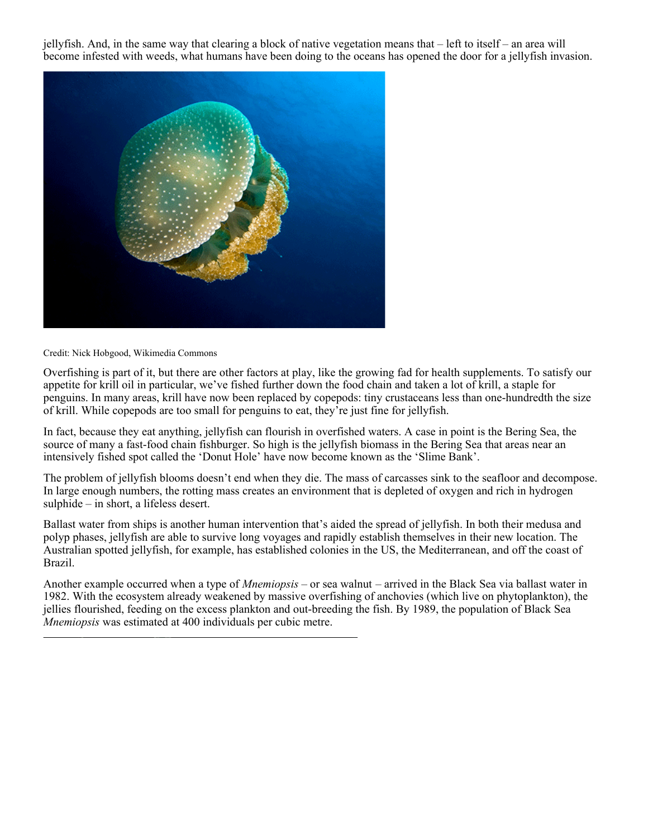jellyfish. And, in the same way that clearing a block of native vegetation means that – left to itself – an area will become infested with weeds, what humans have been doing to the oceans has opened the door for a jellyfish invasion.



## Credit: Nick Hobgood, Wikimedia Commons

Overfishing is part of it, but there are other factors at play, like the growing fad for health supplements. To satisfy our appetite for krill oil in particular, we've fished further down the food chain and taken a lot of krill, a staple for penguins. In many areas, krill have now been replaced by copepods: tiny crustaceans less than one-hundredth the size of krill. While copepods are too small for penguins to eat, they're just fine for jellyfish.

In fact, because they eat anything, jellyfish can flourish in overfished waters. A case in point is the Bering Sea, the source of many a fast-food chain fishburger. So high is the jellyfish biomass in the Bering Sea that areas near an intensively fished spot called the 'Donut Hole' have now become known as the 'Slime Bank'.

The problem of jellyfish blooms doesn't end when they die. The mass of carcasses sink to the seafloor and decompose. In large enough numbers, the rotting mass creates an environment that is depleted of oxygen and rich in hydrogen sulphide – in short, a lifeless desert.

Ballast water from ships is another human intervention that's aided the spread of jellyfish. In both their medusa and polyp phases, jellyfish are able to survive long voyages and rapidly establish themselves in their new location. The Australian spotted jellyfish, for example, has established colonies in the US, the Mediterranean, and off the coast of Brazil.

Another example occurred when a type of *Mnemiopsis –* or sea walnut – arrived in the Black Sea via ballast water in 1982. With the ecosystem already weakened by massive overfishing of anchovies (which live on phytoplankton), the jellies flourished, feeding on the excess plankton and out-breeding the fish. By 1989, the population of Black Sea *Mnemiopsis* was estimated at 400 individuals per cubic metre.